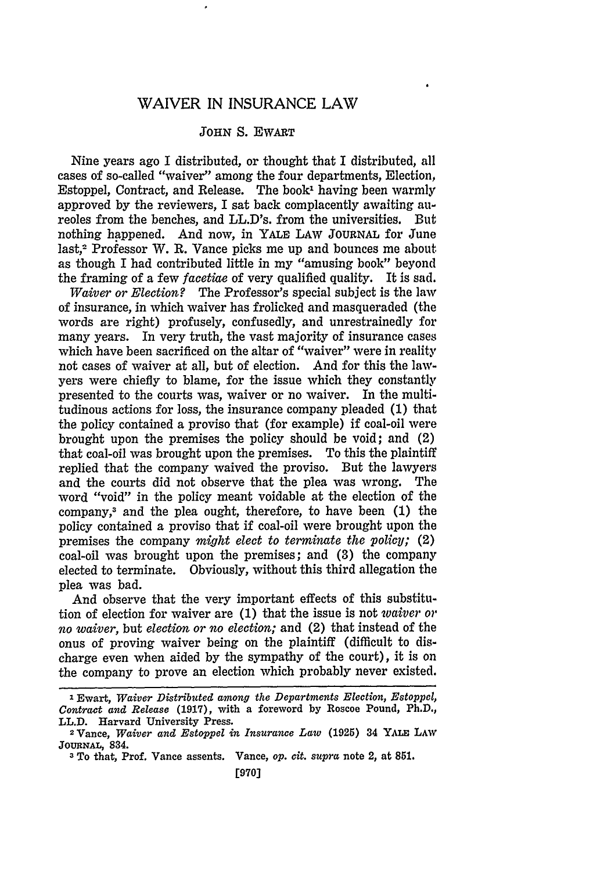## JOHN S. EWART

Nine years ago I distributed, or thought that I distributed, all cases of so-called "waiver" among the four departments, Election, Estoppel, Contract, and Release. The book' having been warmly approved by the reviewers, I sat back complacently awaiting aureoles from the benches, and LL.D's. from the universities. But nothing happened. And now, in YALE LAW JOURNAL for June last,<sup>2</sup> Professor W. R. Vance picks me up and bounces me about as though I had contributed little in my "amusing book" beyond the framing of a few *facetiae* of very qualified quality. It is sad.

*Waiver or Election?* The Professor's special subject is the law of insurance, in which waiver has frolicked and masqueraded (the words are right) profusely, confusedly, and unrestrainedly for many years. In very truth, the vast majority of insurance cases which have been sacrificed on the altar of "waiver" were in reality not cases of waiver at all, but of election. And for this the lawyers were chiefly to blame, for the issue which they constantly presented to the courts was, waiver or no waiver. In the multitudinous actions for loss, the insurance company pleaded (1) that the policy contained a proviso that (for example) if coal-oil were brought upon the premises the policy should be void; and (2) that coal-oil was brought upon the premises. To this the plaintiff replied that the company waived the proviso. But the lawyers and the courts did not observe that the plea was wrong. The word "void" in the policy meant voidable at the election of the company,' and the plea ought, therefore, to have been (1) the policy contained a proviso that if coal-oil were brought upon the premises the company *might elect to terminate the policy;* (2) coal-oil was brought upon the premises; and (3) the company elected to terminate. Obviously, without this third allegation the plea was bad.

And observe that the very important effects of this substitution of election for waiver are (1) that the issue is not *waiver or no waiver,* but *election or no election;* and (2) that instead of the onus of proving waiver being on the plaintiff (difficult to discharge even when aided by the sympathy of the court), it is on the company to prove an election which probably never existed.

**I** Ewart, *Waiver Distributed among the Departments Election, Estoppel, Contract and Release* (1917), with a foreword by Roscoe Pound, Ph.D., LL.D. Harvard University Press.

<sup>2</sup>Vance, *Waiver and Estoppel in Insurance Law* (1925) 34 YALE *LAW* **JOURNiAL,** 834.

**<sup>3</sup>** To that, Prof. Vance assents. Vance, *op. cit. supra* note 2, at **851.**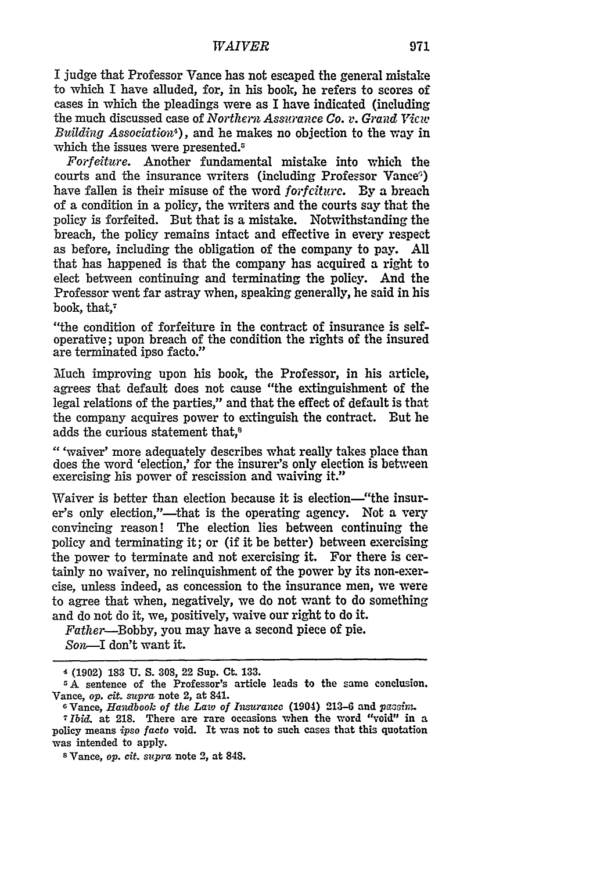I judge that Professor Vance has not escaped the general mistake to which I have alluded, for, in his book, he refers to scores of cases in which the pleadings were as I have indicated (including the much discussed case of *Northern Assurance Co. v. Graid Viw Building Assoclatioo),* and he makes no objection to the way in which the issues were presented. $5$ 

*Forfeiture.* Another fundamental mistake into which the courts and the insurance writers (including Professor Vance) have fallen is their misuse of the word *forfeiture.* By a breach of a condition in a policy, the writers and the courts say that the policy is forfeited. But that is a mistake. Notwithstanding the breach, the policy remains intact and effective in every respect as before, including the obligation of the company to pay. AU that has happened is that the company has acquired a right to elect between continuing and terminating the policy. And the Professor went far astray when, speaking generally, he said in his book, that,7

"the condition of forfeiture in the contract of insurance is selfoperative; upon breach of the condition the rights of the insured are terminated ipso facto."

Much improving upon his book, the Professor, in his article, agrees that default does not cause "the extinguishment of the legal relations of the parties," and that the effect of default is that the company acquires power to extinguish the contract. But he adds the curious statement that,<sup>8</sup>

" 'waiver' more adequately describes what really takes place than does the word 'election,' for the insurer's only election is between exercising his power of rescission and waiving it."

Waiver is better than election because it is election—"the insurer's only election,"—that is the operating agency. Not a very convincing reason! The election lies between continuing the policy and terminating it; or (if it be better) between exercising the power to terminate and not exercising it. For there is certainly no waiver, no relinquishment of the power by its non-exercise, unless indeed, as concession to the insurance men, we were to agree that when, negatively, we do not want to do something and do not do it, we, positively, waive our right to do it.

*Father-Bobby,* you may have a second piece of pie. Son-I don't want it.

<sup>4 (1902)</sup> **183** U. **S. 308,** 22 Sup. **Ct. 133.**

<sup>&</sup>lt;sup>5</sup> A sentence of the Professor's article leads to the same conclusion. Vance, *op. cit. supra,* note 2, at 841.

**<sup>6</sup>** Vance, *Handbook of the Law of 12.surance* (1904) **213-6** and *Vasim.*

*<sup>7</sup>Ibid.* at 218. There are rare occasions when the word "void" **in** a policy means *ipso facto* void. It was not to such cases that this quotation was intended to apply.

**<sup>8</sup>** Vance, *op. cit. supra* note 2, at 848.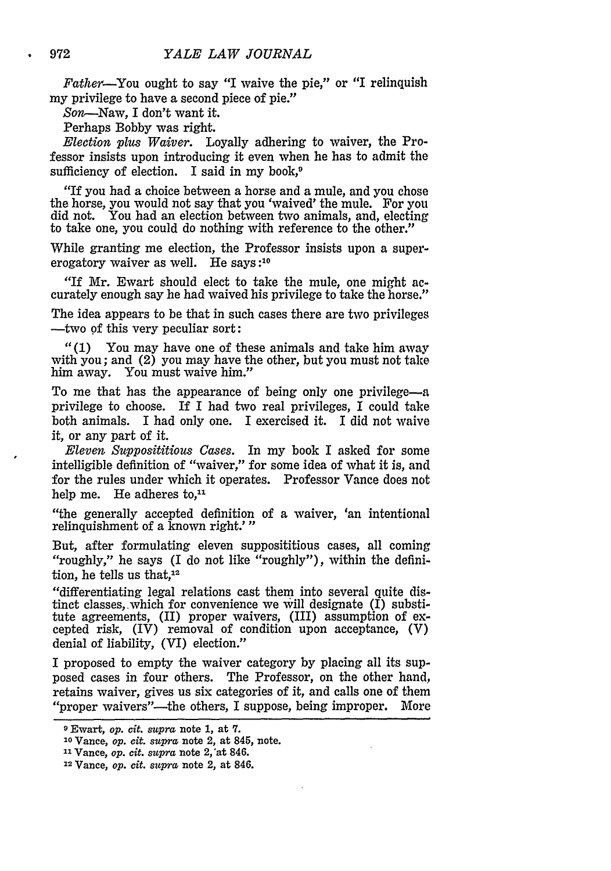*Father-You* ought to say "I waive the pie," or "I relinquish my privilege to have a second piece of pie."

Son-Naw, I don't want it.

Perhaps Bobby was right.

*Election plus Waiver.* Loyally adhering to waiver, the Professor insists upon introducing it even when he has to admit the sufficiency of election. I said in my book.<sup>9</sup>

"If you had a choice between a horse and a mule, and you chose the horse, you would not say that you 'waived' the mule. For you did not. You had an election between two animals, and, electing to take one, you could do nothing with reference to the other."

While granting me election, the Professor insists upon a supererogatory waiver as well. He says **:10**

"If Mr. Ewart should elect to take the mule, one might accurately enough say he had waived his privilege to take the horse."

The idea appears to be that in such cases there are two privileges -two of this very peculiar sort:

"(1) You may have one of these animals and take him away with you; and (2) you may have the other, but you must not take him away. You must waive him."

To me that has the appearance of being only one privilege-a privilege to choose. If I had two real privileges, I could take both animals. I had only one. I exercised it. I did not waive it, or any part of it.

*Eleven Supposititious Cases.* In my book I asked for some intelligible definition of "waiver," for some idea of what it is, and for the rules under which it operates. Professor Vance does not help me. He adheres to,<sup>11</sup>

"the generally accepted definition of a waiver, 'an intentional relinquishment of a known right.'"

But, after formulating eleven supposititious cases, all coming "roughly," he says (I do not like "roughly"), within the definition, he tells us that.<sup>12</sup>

"differentiating legal relations cast them into several quite distinct classes, which for convenience we will designate  $(I)$  substitute agreements, (II) proper waivers, (III) assumption of excepted risk, (IV) removal of condition upon acceptance, (V) denial of liability, (VI) election."

I proposed to empty the waiver category by placing all its supposed cases in four others. The Professor, on the other hand, retains waiver, gives us six categories of it, and calls one of them "proper waivers"—the others, I suppose, being improper. More

**<sup>9</sup>** Ewart, *op. cit. supra* **note 1,** at **7.**

**<sup>10</sup>**Vance, *op. cit. supra* note 2, at 845, **note.**

**<sup>12</sup>**Vance, *op. cit. supra* note 2,'at 846.

**<sup>12</sup>**Vance, *op. cit. supra* **note** 2, at 846.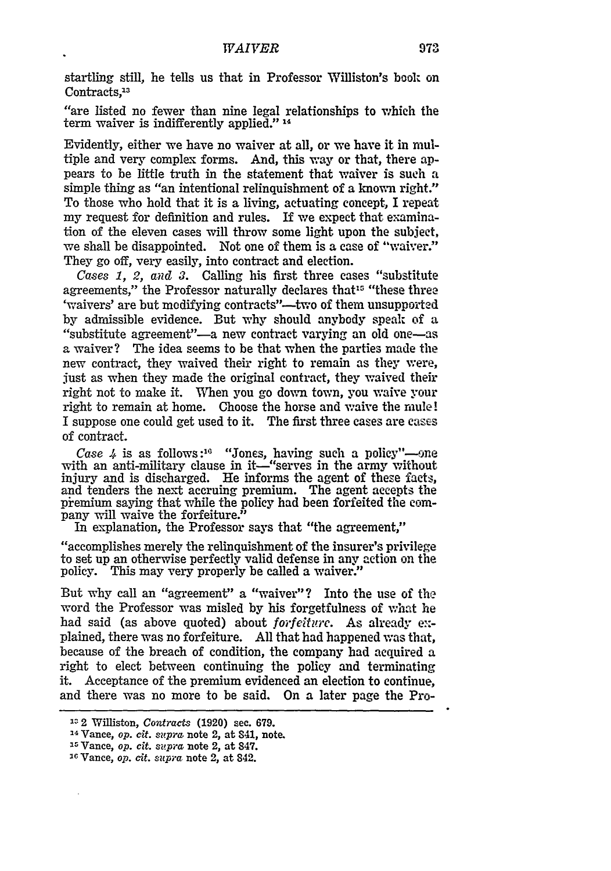startling still, he tells us that in Professor Williston's book on Contracts.<sup>13</sup>

"are listed no fewer than nine legal relationships to which the term waiver is indifferently applied." **14**

Evidently, either we have no waiver at all, or we have it in multiple and very complex forms. And, this way or that, there appears to be little truth in the statement that waiver is such a simple thing as "an intentional relinquishment of a known right." To those who hold that it is a living, actuating concept, I repeat my request for definition and rules. **If** we expect that examination of the eleven cases will throw some light upon the subject, we shall be disappointed. Not one of them is a case of "waiver." They go off, very easily, into contract and election.

*Cases 1, 2, and 3.* Calling his first three cases "substitute agreements," the Professor naturally declares that's "these three 'waivers' are but modifying contracts"—two of them unsupported by admissible evidence. But why should anybody speak of a "substitute agreement"-a new contract varying an old one-as a waiver? The idea seems to be that when the parties made the new contract, they waived their right to remain as they were, just as when they made the original contract, they waived their right not to make it. When you go down town, you waive your right to remain at home. Choose the horse and waive the mule! I suppose one could get used to it. The first three cases are cases of contract.

Case  $4$  is as follows:<sup>16</sup> "Jones, having such a policy"—one with an anti-military clause in it—"serves in the army without injury and is discharged. He informs the agent of these facts, and tenders the next accruing premium. The agent accepts the piemium saying that while the policy had been forfeited the company will waive the forfeiture."

In explanation, the Professor says that "the agreement,"

"accomplishes merely the relinquishment of the insurer's privilege to set up an otherwise perfectly valid defense in any action on the policy. This may very properly be called a waiver."

But why call an "agreement" a "waiver"? Into the use of the word the Professor was misled by his forgetfulness of what he had said (as above quoted) about *forfelturc.* As already **e:** plained, there was no forfeiture. All that had happened was that, because of the breach of condition, the company had acquired a right to elect between continuing the policy and terminating it. Acceptance of the premium evidenced an election to continue, and there was no more to be said. On a later page the Pro-

<sup>1</sup> 2 **Williston,** *Contracts* **(1920)** sec. **679.**

<sup>&#</sup>x27; Vance, *op. cit. supre,* **note 2, at** S41, **note.**

<sup>&</sup>quot;Vance, *op. cit. szpra* **note** 2, **at 847.**

**<sup>&#</sup>x27;c** Vance, *op. cit. supra* **note** 2, **at** 842.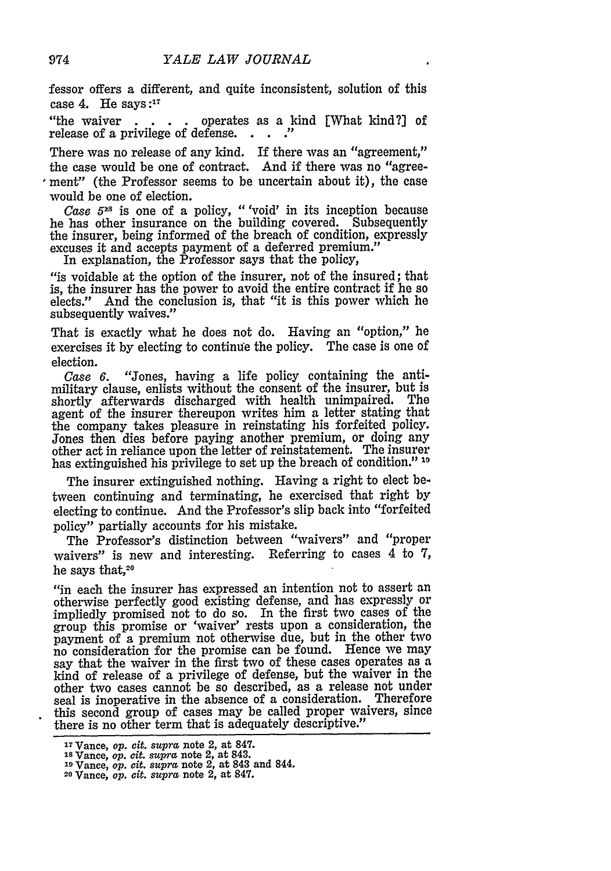fessor offers a different, and quite inconsistent, solution of this case 4. He says *:17*

"the waiver . **. .** . operates as a kind [What kind?] of release of a privilege of defense.  $\ldots$  . "

There was no release of any kind. If there was an "agreement," the case would be one of contract. And if there was no "agreement" (the Professor seems to be uncertain about it), the case would be one of election.

*Case*  $5^{18}$  is one of a policy, "'void' in its inception because he has other insurance on the building covered. Subsequently the insurer, being informed of the breach of condition, expressly excuses it and accepts payment of a deferred premium."

In explanation, the Professor says that the policy,

"is voidable at the option of the insurer, not of the insured; that is, the insurer has the power to avoid the entire contract if he so elects." And the conclusion is, that "it is this power which he subsequently waives."

That is exactly what he does not do. Having an "option," he exercises it by electing to continue the policy. The case is one of election.

*Case 6.* "Jones, having a life policy containing the antimilitary clause, enlists without the consent of the insurer, but is shortly afterwards discharged with health unimpaired. The agent of the insurer thereupon writes him a letter stating that the company takes pleasure in reinstating his forfeited policy. Jones then dies before paying another premium, or doing any other act in reliance upon the letter of reinstatement. The insurer has extinguished his privilege to set up the breach of condition." **12**

The insurer extinguished nothing. Having a right to elect between continuing and terminating, he exercised that right **by** electing to continue. And the Professor's slip back into "forfeited policy" partially accounts for his mistake.

The Professor's distinction between "waivers" and "proper waivers" is new and interesting. Referring to cases 4 to **7,** he says that.<sup>20</sup>

"in each the insurer has expressed an intention not to assert an otherwise perfectly good existing defense, and has expressly or impliedly promised not to do so. In the first two cases of the group this promise or 'waiver' rests upon a consideration, the payment of a premium not otherwise due, but in the other two no consideration for the promise can be found. Hence we may say that the waiver in the first two of these cases operates as a kind of release of a privilege of defense, but the waiver in the other two cases cannot be so described, as a release not under seal is inoperative in the absence of a consideration. Therefore this second group of cases may be called proper waivers, since there is no other term that is adequately descriptive."

**<sup>37</sup>**Vance, *op. cit. supra* **note 2,** at **847.**

**is** Vance, *op. cit. supra* note 2, at 843.

**<sup>19</sup>**Vance, *op. cit. supra* **note** 2, **at 843 and 844. 20** Vance, *op. cit. supra* **note** 2, at 847.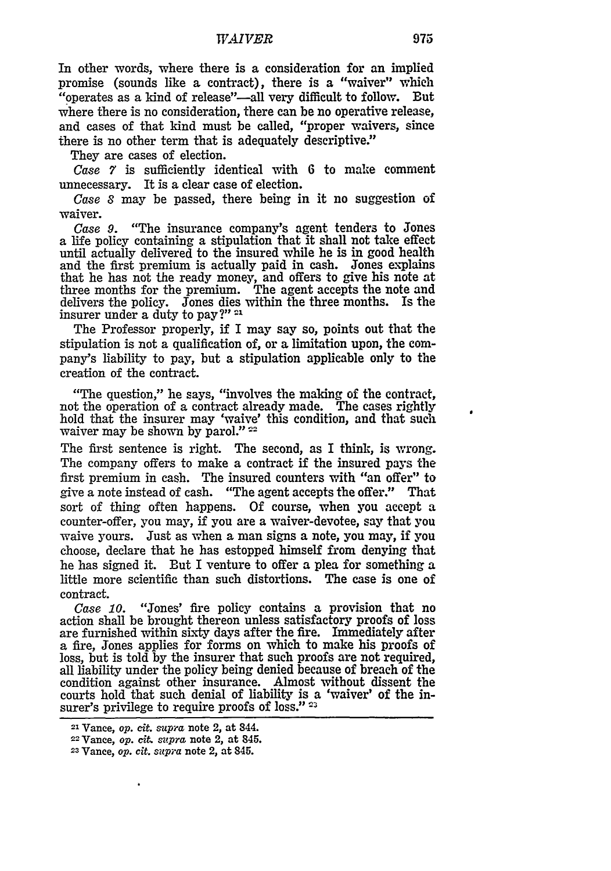In other words, where there is a consideration for an implied promise (sounds like a contract), there is a "waiver" which "operates as a kind of release"—all very difficult to follow. But where there is no consideration, there can be no operative release, and cases of that kind must be called, "proper waivers, since there is no other term that is adequately descriptive."

They are cases of election.

*Case* 7 is sufficiently identical with 6 to make comment unnecessary. It is a clear case of election.

*Case 8* may be passed, there being in it no suggestion of waiver.

*Case 9.* "The insurance company's agent tenders to Jones a life policy containing a stipulation that it shall not take effect until actually delivered to the insured while he is in good health and the first premium is actually paid in cash. Jones explains that he has not the ready money, and offers to give his note at three months for the premium. The agent accepts the note and delivers the policy. Jones dies within the three months. Is the insurer under a duty to pay?" **21**

The Professor properly, if I may say so, points out that the stipulation is not a qualification of, or a limitation upon, the company's liability to pay, but a stipulation applicable only to the creation of the contract.

"The question," he says, "involves the making of the contract, not the operation of a contract already made. The cases rightly hold that the insurer may 'waive' this condition, and that such waiver may be shown by parol." 22

The first sentence is right. The second, as I think, is wrong. The company offers to make a contract if the insured pays the first premium in cash. The insured counters with "an offer" to give a note instead of cash. "The agent accepts the offer." That sort of thing often happens. Of course, when you accept a counter-offer, you may, if you are a waiver-devotee, say that you waive yours. Just as when a man signs a note, you may, if you choose, declare that he has estopped himself from denying that he has signed it. But I venture to offer a plea for something a little more scientific than such distortions. The case is one of contract.

*Case 10.* "Jones' fire policy contains a provision that no action shall be brought thereon unless satisfactory proofs of loss are furnished within sixty days after the fire. Immediately after a fire, Jones applies for forms on which to make his proofs of loss, but is told by the insurer that such proofs are not required, all liability under the policy being denied because of breach of the condition against other insurance. Almost without dissent the courts hold that such denial of liability is a 'waiver' of the insurer's privilege to require proofs of loss." 23

<sup>2&#</sup>x27;Vance, *op. cit. supra* **note 2,** at **844.**

*<sup>22</sup>*Vance, *op. cit supra* **note 2,** at **845.**

**<sup>23</sup>** Vance, *op. cit. supra* note **2,** at **845.**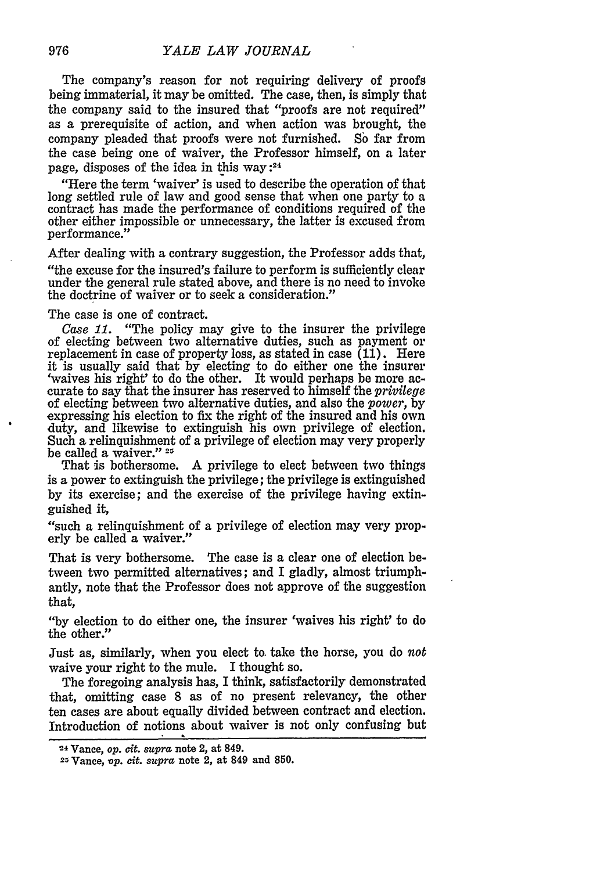The company's reason for not requiring delivery of proofs being immaterial, it may be omitted. The case, then, is simply that the company said to the insured that "proofs are not required" as a prerequisite of action, and when action was brought, the company pleaded that proofs were not furnished. So far from the case being one of waiver, the Professor himself, on a later page, disposes of the idea in this way **:24**

"Here the term 'waiver' is used to describe the operation of that long settled rule of law and good sense that when one party to a contract has made the performance of conditions required of the other either impossible or unnecessary, the latter is excused from performance."

After dealing with a contrary suggestion, the Professor adds that,

"the excuse for the insured's failure to perform is sufficiently clear under the general rule stated above, and there is no need to invoke the doctrine of waiver or to seek a consideration."

The case is one of contract.

*Case 11.* "The policy may give to the insurer the privilege of electing between two alternative duties, such as payment or replacement in case of property loss, as stated in case **(11).** Here it is usually said that by electing to do either one the insurer 'waives his right' to do the other. It would perhaps be more accurate to say that the insurer has reserved to himself the *privilege* of electing between two alternative duties, and also the *power,* by expressing his election to fix the right of the insured and his own duty, and likewise to extinguish his own privilege of election. Such a relinquishment of a privilege of election may very properly be called a waiver." **<sup>25</sup>**

That is bothersome. A privilege to elect between two things is a power to extinguish the privilege; the privilege is extinguished by its exercise; and the exercise of the privilege having extinguished it,

"such a relinquishment of a privilege of election may very properly be called a waiver."

That is very bothersome. The case is a clear one of election between two permitted alternatives; and I gladly, almost triumphantly, note that the Professor does not approve of the suggestion that,

"by election to do either one, the insurer 'waives his right' to do the other."

Just as, similarly, when you elect to. take the horse, you do *not* waive your right to the mule. I thought so.

The foregoing analysis has, I think, satisfactorily demonstrated that, omitting case 8 as of no present relevancy, the other ten cases are about equally divided between contract and election. Introduction of notions about waiver is not only confusing but

<sup>24</sup> Vance, *op. cit. supra* note 2, at 849.

**<sup>25</sup>** Vance, *ip. cit. supra* note 2, at 849 and **850.**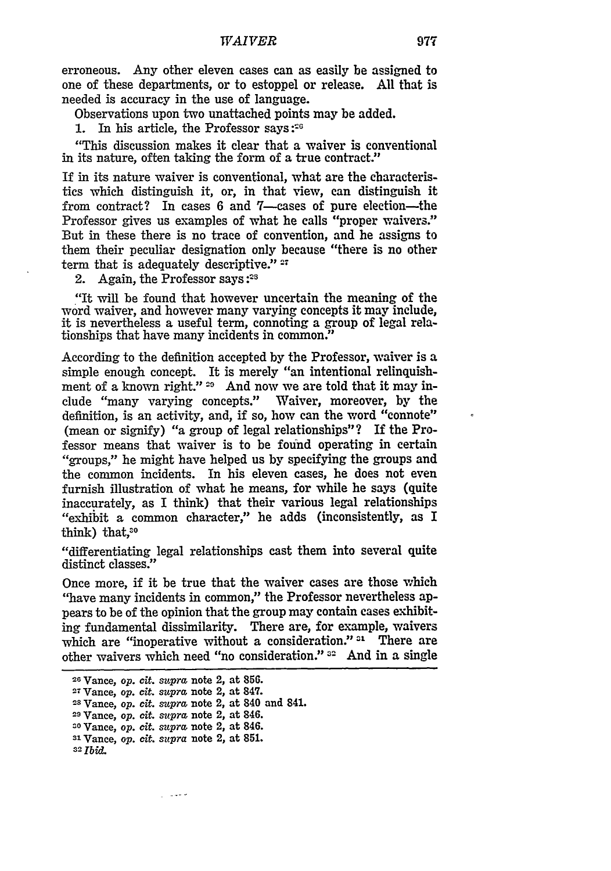erroneous. Any other eleven cases can as easily be assigned to one of these departments, or to estoppel or release. All that is needed is accuracy in the use of language.

Observations upon two unattached points may be added.

1. In his article, the Professor says: $26$ 

"This discussion makes it clear that a waiver is conventional in its nature, often taking the form of a true contract."

If in its nature waiver is conventional, what are the characteristics which distinguish it, or, in that view, can distinguish it from contract? In cases 6 and 7—cases of pure election—the Professor gives us examples of what he calls "proper waivers." But in these there is no trace of convention, and he assigns to them their peculiar designation only because "there is no other term that is adequately descriptive." **<sup>27</sup>**

2. Again, the Professor says **:2**

"It will be found that however uncertain the meaning of the word waiver, and however many varying concepts it may include, it is nevertheless a useful term, connoting a group of legal relationships that have many incidents in common."

According to the definition accepted by the Professor, waiver is a simple enough concept. It is merely "an intentional relinquishment of a known right."<sup>29</sup> And now we are told that it may include "many varying concepts." Waiver, moreover, by the definition, is an activity, and, if so, how can the word "connote" (mean or signify) "a group of legal relationships"? If the Professor means that waiver is to be found operating in certain "groups," he might have helped us by specifying the groups and the common incidents. In his eleven cases, he does not even furnish illustration of what he means, for while he says (quite inaccurately, as I think) that their various legal relationships "exhibit a common character," he adds (inconsistently, as I  $think$ ) that. $30$ 

"differentiating legal relationships cast them into several quite distinct classes."

Once more, if it be true that the waiver cases are those which "have many incidents in common," the Professor nevertheless appears to be of the opinion that the group may contain cases exhibiting fundamental dissimilarity. There are, for example, waivers which are "inoperative without a consideration." <sup>31</sup> There are other waivers which need "no consideration." **3-** And in a single

فالمجان

<sup>26</sup>Vance, *op. cit. sumpra* note **2, at 856.** 27Vance, **op.** *cit.* supra note 2, at **847.**

*<sup>2-8</sup>* Vance, *op. cit. supra* note 2, at **840** and **841. <sup>2</sup>**

**<sup>9</sup>** Vance, *op.* **cit.** *supra* note **2,** at **846.**

**<sup>^</sup>o** Vance, *op. cit. supra* note **2,** at **846.**

**s1** Vance, **op.** *cit. supra* note 2, at **851.**

**<sup>321</sup>bid.**